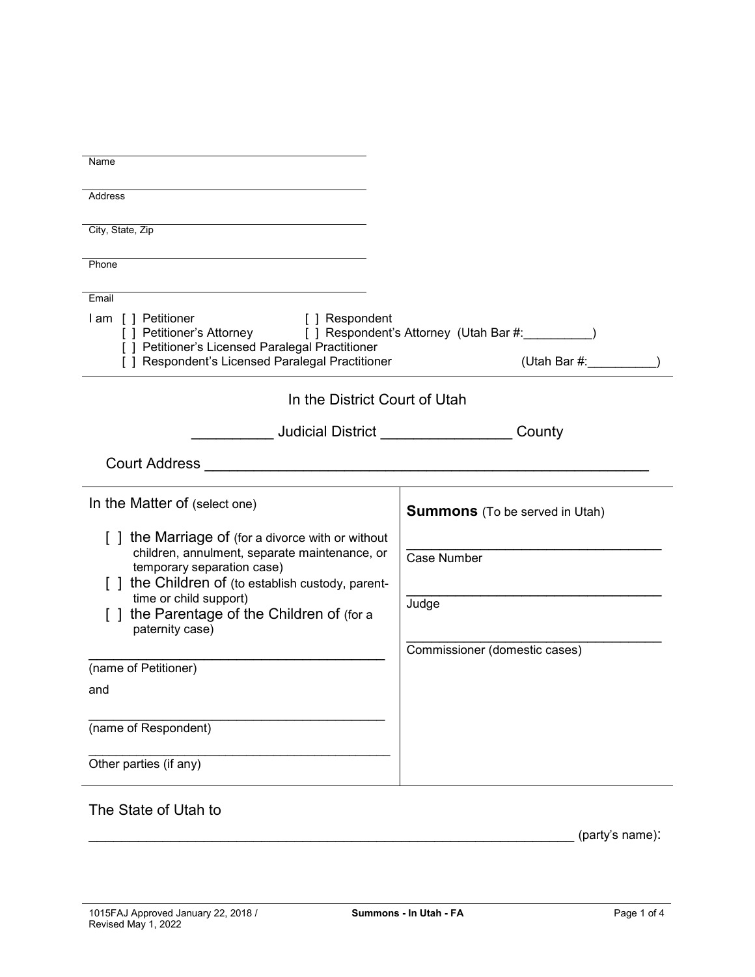| Name                                                                                                                                                                                                                       |                                       |  |  |
|----------------------------------------------------------------------------------------------------------------------------------------------------------------------------------------------------------------------------|---------------------------------------|--|--|
| <b>Address</b>                                                                                                                                                                                                             |                                       |  |  |
|                                                                                                                                                                                                                            |                                       |  |  |
| City, State, Zip                                                                                                                                                                                                           |                                       |  |  |
| Phone                                                                                                                                                                                                                      |                                       |  |  |
| Email                                                                                                                                                                                                                      |                                       |  |  |
| I am [] Petitioner<br>[ ] Respondent<br>[ ] Petitioner's Attorney [ ] Respondent's Attorney (Utah Bar #:_________)<br>[ ] Petitioner's Licensed Paralegal Practitioner<br>[ ] Respondent's Licensed Paralegal Practitioner | (Utah Bar #:                          |  |  |
| In the District Court of Utah                                                                                                                                                                                              |                                       |  |  |
|                                                                                                                                                                                                                            | County                                |  |  |
| <b>Court Address</b>                                                                                                                                                                                                       |                                       |  |  |
| In the Matter of (select one)                                                                                                                                                                                              | <b>Summons</b> (To be served in Utah) |  |  |
| [] the Marriage of (for a divorce with or without                                                                                                                                                                          |                                       |  |  |
| children, annulment, separate maintenance, or<br>temporary separation case)                                                                                                                                                | <b>Case Number</b>                    |  |  |
| [ ] the Children of (to establish custody, parent-                                                                                                                                                                         |                                       |  |  |
| time or child support)<br>the Parentage of the Children of (for a<br>paternity case)                                                                                                                                       | Judge                                 |  |  |
|                                                                                                                                                                                                                            | Commissioner (domestic cases)         |  |  |
| (name of Petitioner)                                                                                                                                                                                                       |                                       |  |  |
| and                                                                                                                                                                                                                        |                                       |  |  |
|                                                                                                                                                                                                                            |                                       |  |  |
| (name of Respondent)                                                                                                                                                                                                       |                                       |  |  |
| Other parties (if any)                                                                                                                                                                                                     |                                       |  |  |
|                                                                                                                                                                                                                            |                                       |  |  |

## The State of Utah to

 $\frac{1}{2}$  (party's name):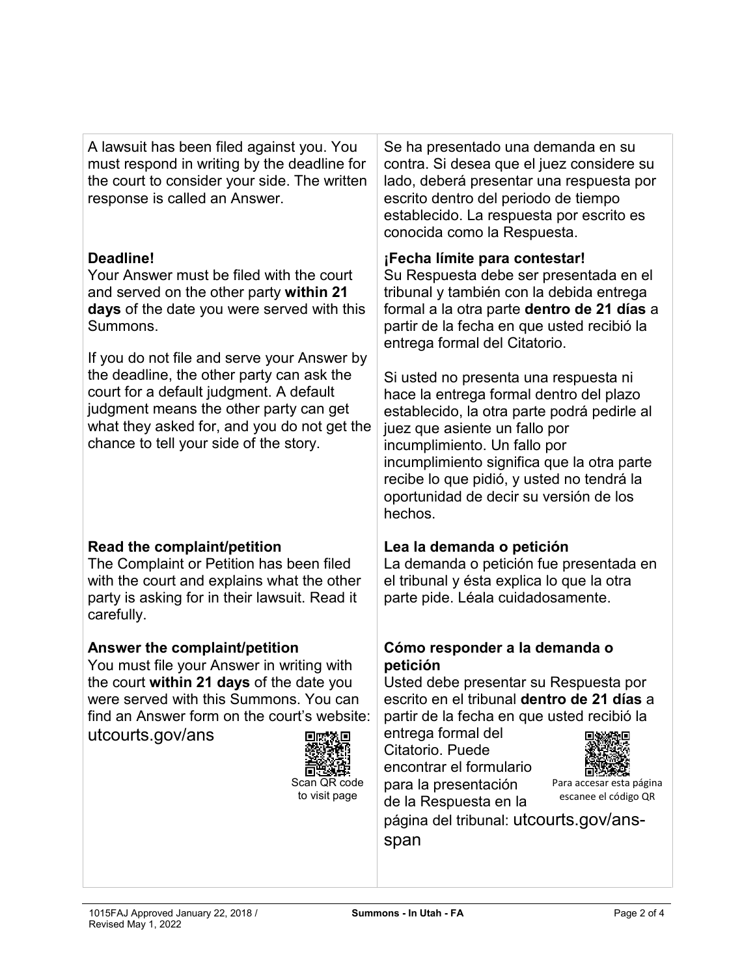| A lawsuit has been filed against you. You<br>must respond in writing by the deadline for<br>the court to consider your side. The written<br>response is called an Answer.                                                                                              | Se ha presentado una demanda en su<br>contra. Si desea que el juez considere su<br>lado, deberá presentar una respuesta por<br>escrito dentro del periodo de tiempo<br>establecido. La respuesta por escrito es<br>conocida como la Respuesta.                                                                                                                                                             |
|------------------------------------------------------------------------------------------------------------------------------------------------------------------------------------------------------------------------------------------------------------------------|------------------------------------------------------------------------------------------------------------------------------------------------------------------------------------------------------------------------------------------------------------------------------------------------------------------------------------------------------------------------------------------------------------|
| Deadline!<br>Your Answer must be filed with the court<br>and served on the other party within 21<br>days of the date you were served with this<br>Summons.                                                                                                             | ¡Fecha límite para contestar!<br>Su Respuesta debe ser presentada en el<br>tribunal y también con la debida entrega<br>formal a la otra parte dentro de 21 días a<br>partir de la fecha en que usted recibió la<br>entrega formal del Citatorio.                                                                                                                                                           |
| If you do not file and serve your Answer by<br>the deadline, the other party can ask the<br>court for a default judgment. A default<br>judgment means the other party can get<br>what they asked for, and you do not get the<br>chance to tell your side of the story. | Si usted no presenta una respuesta ni<br>hace la entrega formal dentro del plazo<br>establecido, la otra parte podrá pedirle al<br>juez que asiente un fallo por<br>incumplimiento. Un fallo por<br>incumplimiento significa que la otra parte<br>recibe lo que pidió, y usted no tendrá la<br>oportunidad de decir su versión de los<br>hechos.                                                           |
| Read the complaint/petition<br>The Complaint or Petition has been filed<br>with the court and explains what the other<br>party is asking for in their lawsuit. Read it<br>carefully.                                                                                   | Lea la demanda o petición<br>La demanda o petición fue presentada en<br>el tribunal y ésta explica lo que la otra<br>parte pide. Léala cuidadosamente.                                                                                                                                                                                                                                                     |
| Answer the complaint/petition<br>You must file your Answer in writing with<br>the court within 21 days of the date you<br>were served with this Summons. You can<br>find an Answer form on the court's website:<br>utcourts.gov/ans<br>Scan QR code<br>to visit page   | Cómo responder a la demanda o<br>petición<br>Usted debe presentar su Respuesta por<br>escrito en el tribunal dentro de 21 días a<br>partir de la fecha en que usted recibió la<br>entrega formal del<br>Citatorio. Puede<br>encontrar el formulario<br>Para accesar esta página<br>para la presentación<br>escanee el código QR<br>de la Respuesta en la<br>página del tribunal: utcourts.gov/ans-<br>span |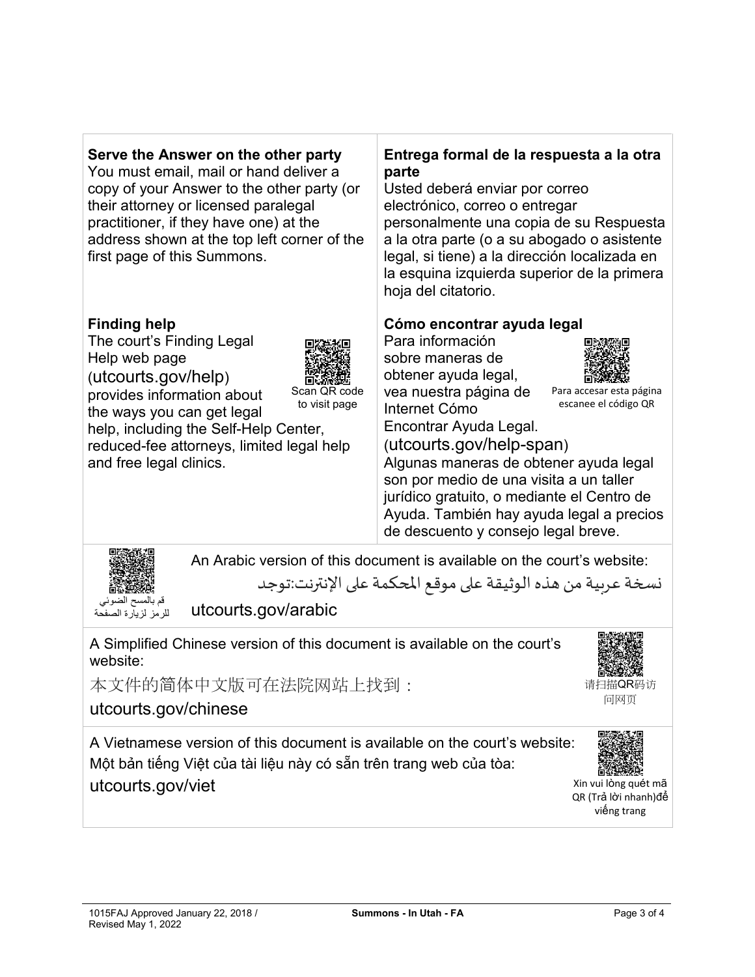